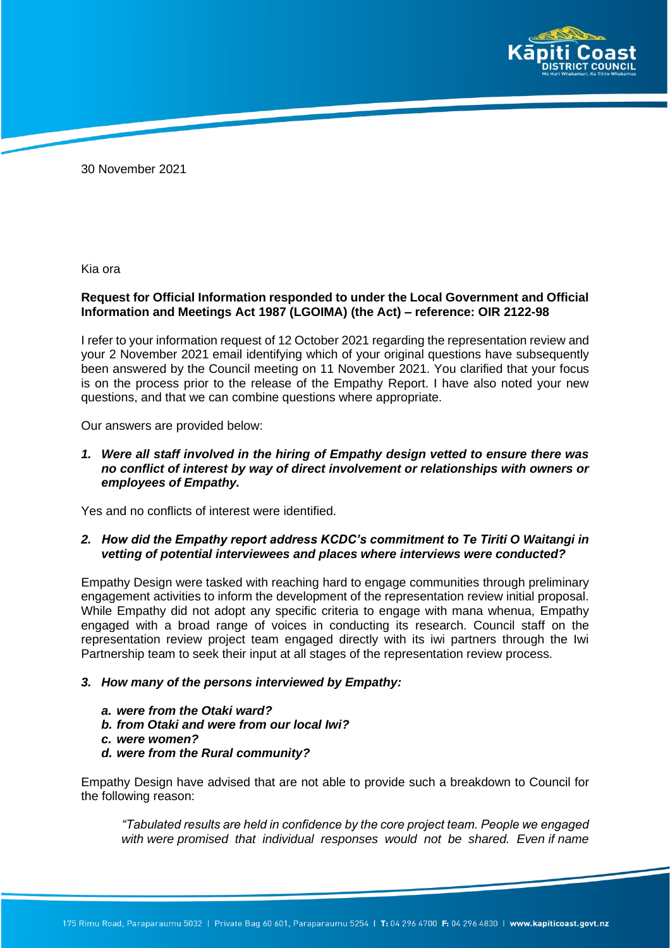

30 November 2021

Kia ora

# **Request for Official Information responded to under the Local Government and Official Information and Meetings Act 1987 (LGOIMA) (the Act) – reference: OIR 2122-98**

I refer to your information request of 12 October 2021 regarding the representation review and your 2 November 2021 email identifying which of your original questions have subsequently been answered by the Council meeting on 11 November 2021. You clarified that your focus is on the process prior to the release of the Empathy Report. I have also noted your new questions, and that we can combine questions where appropriate.

Our answers are provided below:

*1. Were all staff involved in the hiring of Empathy design vetted to ensure there was no conflict of interest by way of direct involvement or relationships with owners or employees of Empathy.*

Yes and no conflicts of interest were identified.

### *2. How did the Empathy report address KCDC's commitment to Te Tiriti O Waitangi in vetting of potential interviewees and places where interviews were conducted?*

Empathy Design were tasked with reaching hard to engage communities through preliminary engagement activities to inform the development of the representation review initial proposal. While Empathy did not adopt any specific criteria to engage with mana whenua, Empathy engaged with a broad range of voices in conducting its research. Council staff on the representation review project team engaged directly with its iwi partners through the Iwi Partnership team to seek their input at all stages of the representation review process.

### *3. How many of the persons interviewed by Empathy:*

- *a. were from the Otaki ward?*
- *b. from Otaki and were from our local Iwi?*
- *c. were women?*
- *d. were from the Rural community?*

Empathy Design have advised that are not able to provide such a breakdown to Council for the following reason:

*"Tabulated results are held in confidence by the core project team. People we engaged with were promised that individual responses would not be shared. Even if name*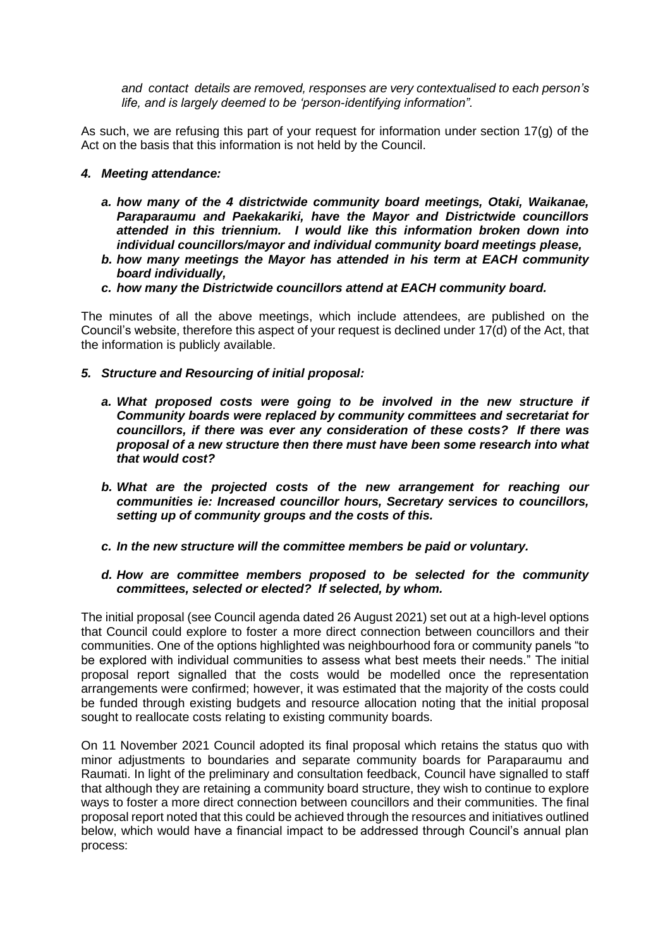*and contact details are removed, responses are very contextualised to each person's life, and is largely deemed to be 'person-identifying information".*

As such, we are refusing this part of your request for information under section 17(g) of the Act on the basis that this information is not held by the Council.

### *4. Meeting attendance:*

- *a. how many of the 4 districtwide community board meetings, Otaki, Waikanae, Paraparaumu and Paekakariki, have the Mayor and Districtwide councillors attended in this triennium. I would like this information broken down into individual councillors/mayor and individual community board meetings please,*
- *b. how many meetings the Mayor has attended in his term at EACH community board individually,*
- *c. how many the Districtwide councillors attend at EACH community board.*

The minutes of all the above meetings, which include attendees, are published on the Council's website, therefore this aspect of your request is declined under 17(d) of the Act, that the information is publicly available.

- *5. Structure and Resourcing of initial proposal:*
	- *a. What proposed costs were going to be involved in the new structure if Community boards were replaced by community committees and secretariat for councillors, if there was ever any consideration of these costs? If there was proposal of a new structure then there must have been some research into what that would cost?*
	- *b. What are the projected costs of the new arrangement for reaching our communities ie: Increased councillor hours, Secretary services to councillors, setting up of community groups and the costs of this.*
	- *c. In the new structure will the committee members be paid or voluntary.*

## *d. How are committee members proposed to be selected for the community committees, selected or elected? If selected, by whom.*

The initial proposal (see Council agenda dated 26 August 2021) set out at a high-level options that Council could explore to foster a more direct connection between councillors and their communities. One of the options highlighted was neighbourhood fora or community panels "to be explored with individual communities to assess what best meets their needs." The initial proposal report signalled that the costs would be modelled once the representation arrangements were confirmed; however, it was estimated that the majority of the costs could be funded through existing budgets and resource allocation noting that the initial proposal sought to reallocate costs relating to existing community boards.

On 11 November 2021 Council adopted its final proposal which retains the status quo with minor adjustments to boundaries and separate community boards for Paraparaumu and Raumati. In light of the preliminary and consultation feedback, Council have signalled to staff that although they are retaining a community board structure, they wish to continue to explore ways to foster a more direct connection between councillors and their communities. The final proposal report noted that this could be achieved through the resources and initiatives outlined below, which would have a financial impact to be addressed through Council's annual plan process: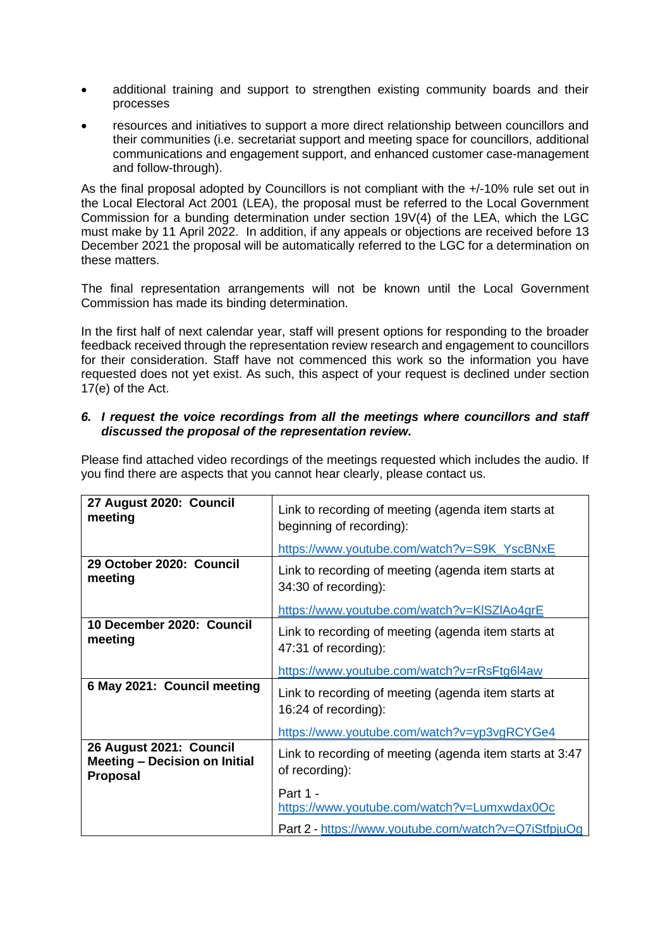- additional training and support to strengthen existing community boards and their processes
- resources and initiatives to support a more direct relationship between councillors and their communities (i.e. secretariat support and meeting space for councillors, additional communications and engagement support, and enhanced customer case-management and follow-through).

As the final proposal adopted by Councillors is not compliant with the +/-10% rule set out in the Local Electoral Act 2001 (LEA), the proposal must be referred to the Local Government Commission for a bunding determination under section 19V(4) of the LEA, which the LGC must make by 11 April 2022. In addition, if any appeals or objections are received before 13 December 2021 the proposal will be automatically referred to the LGC for a determination on these matters.

The final representation arrangements will not be known until the Local Government Commission has made its binding determination.

In the first half of next calendar year, staff will present options for responding to the broader feedback received through the representation review research and engagement to councillors for their consideration. Staff have not commenced this work so the information you have requested does not yet exist. As such, this aspect of your request is declined under section 17(e) of the Act.

# *6. I request the voice recordings from all the meetings where councillors and staff discussed the proposal of the representation review.*

| 27 August 2020: Council<br>meeting                                                 | Link to recording of meeting (agenda item starts at<br>beginning of recording): |
|------------------------------------------------------------------------------------|---------------------------------------------------------------------------------|
|                                                                                    | https://www.youtube.com/watch?v=S9K YscBNxE                                     |
| 29 October 2020: Council<br>meeting                                                | Link to recording of meeting (agenda item starts at<br>34:30 of recording):     |
|                                                                                    | https://www.youtube.com/watch?v=KISZIAo4grE                                     |
| 10 December 2020: Council<br>meeting                                               | Link to recording of meeting (agenda item starts at<br>47:31 of recording):     |
|                                                                                    | https://www.youtube.com/watch?v=rRsFtg6l4aw                                     |
| 6 May 2021: Council meeting                                                        | Link to recording of meeting (agenda item starts at<br>16:24 of recording):     |
|                                                                                    | https://www.youtube.com/watch?v=yp3vgRCYGe4                                     |
| 26 August 2021: Council<br><b>Meeting - Decision on Initial</b><br><b>Proposal</b> | Link to recording of meeting (agenda item starts at 3:47<br>of recording):      |
|                                                                                    | Part 1 -<br>https://www.youtube.com/watch?v=Lumxwdax0Oc                         |
|                                                                                    | Part 2 - https://www.youtube.com/watch?v=Q7iStfpjuOg                            |

Please find attached video recordings of the meetings requested which includes the audio. If you find there are aspects that you cannot hear clearly, please contact us.